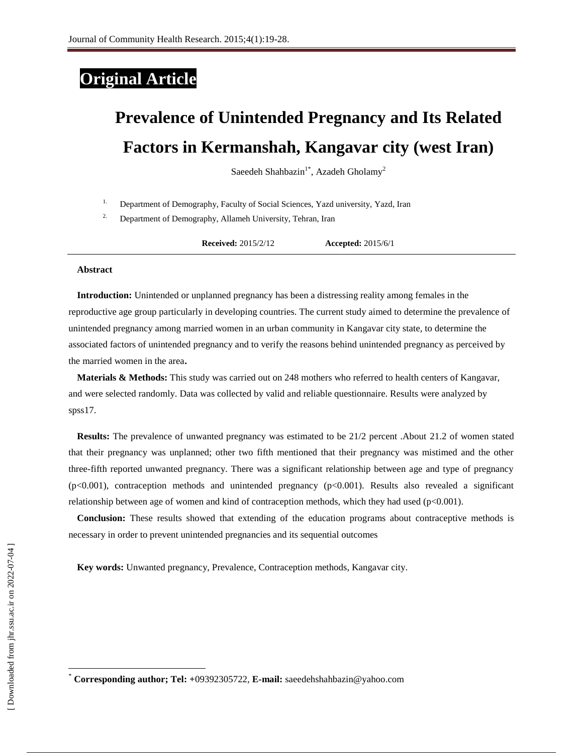## **Original Article**

# **Prevalence of Unintended Pregnancy and Its Related Factors in Kermanshah, Kangavar city (west Iran)**

Saeedeh Shahbazin<sup>1\*</sup>, Azadeh Gholamy<sup>2</sup>

<sup>1.</sup> Department of Demography, Faculty of Social Sciences, Yazd university, Yazd, Iran

<sup>2.</sup> Department of Demography, Allameh University, Tehran, Iran

**Received:** 2015/2/12 **Accepted:** 2015/6/1

#### **Abstract**

**Introduction:** Unintended or unplanned pregnancy has been a distressing reality among females in the reproductive age group particularly in developing countries. The current study aimed to determine the prevalence of unintended pregnancy among married women in an urban community in Kangavar city state, to determine the associated factors of unintended pregnancy and to verify the reasons behind unintended pregnancy as perceived by the married women in the area**.** 

**Materials & Methods:** This study was carried out on 248 mothers who referred to health centers of Kangavar, and were selected randomly. Data was collected by valid and reliable questionnaire. Results were analyzed by spss<sub>17</sub>.

**Results:** The prevalence of unwanted pregnancy was estimated to be 21/2 percent .About 21.2 of women stated that their pregnancy was unplanned; other two fifth mentioned that their pregnancy was mistimed and the other three-fifth reported unwanted pregnancy. There was a significant relationship between age and type of pregnancy (p<0.001), contraception methods and unintended pregnancy (p<0.001). Results also revealed a significant relationship between age of women and kind of contraception methods, which they had used  $(p<0.001)$ .

**Conclusion:** These results showed that extending of the education programs about contraceptive methods is necessary in order to prevent unintended pregnancies and its sequential outcomes

**Key words:** Unwanted pregnancy, Prevalence, Contraception methods, Kangavar city.

 $\overline{\phantom{a}}$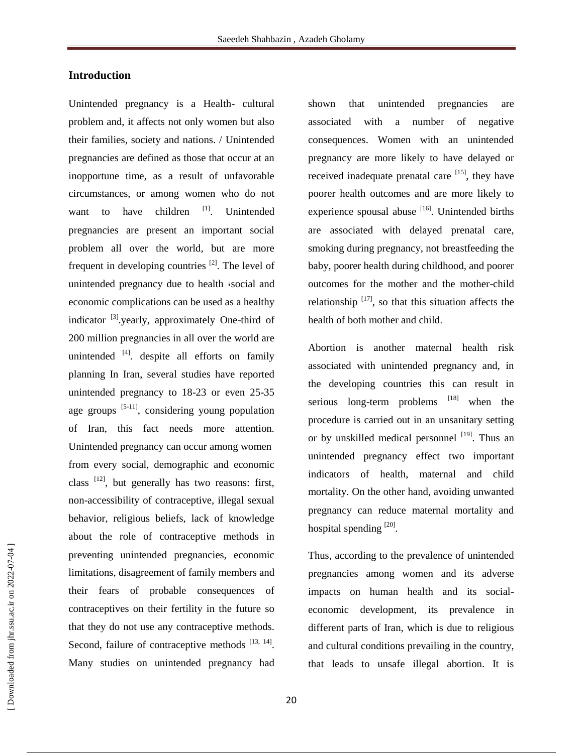#### **Introduction**

Unintended pregnancy is a Health- cultural problem and, it affects not only women but also their families, society and nations. / Unintended pregnancies are defined as those that occur at an inopportune time, as a result of unfavorable circumstances, or among women who do not want to have children <sup>[1]</sup>. Unintended pregnancies are present an important social problem all over the world, but are more frequent in developing countries  $^{[2]}$ . The level of unintended pregnancy due to health *social and* economic complications can be used as a healthy indicator <sup>[3]</sup> yearly, approximately One-third of 200 million pregnancies in all over the world are unintended  $[4]$ . despite all efforts on family planning In Iran, several studies have reported unintended pregnancy to 18-23 or even 25-35 age groups  $[5-11]$ , considering young population of Iran, this fact needs more attention. Unintended pregnancy can occur among women from every social, demographic and economic class  $[12]$ , but generally has two reasons: first, non-accessibility of contraceptive, illegal sexual behavior, religious beliefs, lack of knowledge about the role of contraceptive methods in preventing unintended pregnancies, economic limitations, disagreement of family members and their fears of probable consequences of contraceptives on their fertility in the future so that they do not use any contraceptive methods. Second, failure of contraceptive methods  $[13, 14]$ . Many studies on unintended pregnancy had

shown that unintended pregnancies are associated with a number of negative consequences. Women with an unintended pregnancy are more likely to have delayed or received inadequate prenatal care  $[15]$ , they have poorer health outcomes and are more likely to experience spousal abuse <sup>[16]</sup>. Unintended births are associated with delayed prenatal care, smoking during pregnancy, not breastfeeding the baby, poorer health during childhood, and poorer outcomes for the mother and the mother-child relationship  $[17]$ , so that this situation affects the health of both mother and child.

Abortion is another maternal health risk associated with unintended pregnancy and, in the developing countries this can result in serious long-term problems  $[18]$  when the procedure is carried out in an unsanitary setting or by unskilled medical personnel [19]. Thus an unintended pregnancy effect two important indicators of health, maternal and child mortality. On the other hand, avoiding unwanted pregnancy can reduce maternal mortality and hospital spending [20].

Thus, according to the prevalence of unintended pregnancies among women and its adverse impacts on human health and its socialeconomic development, its prevalence in different parts of Iran, which is due to religious and cultural conditions prevailing in the country, that leads to unsafe illegal abortion. It is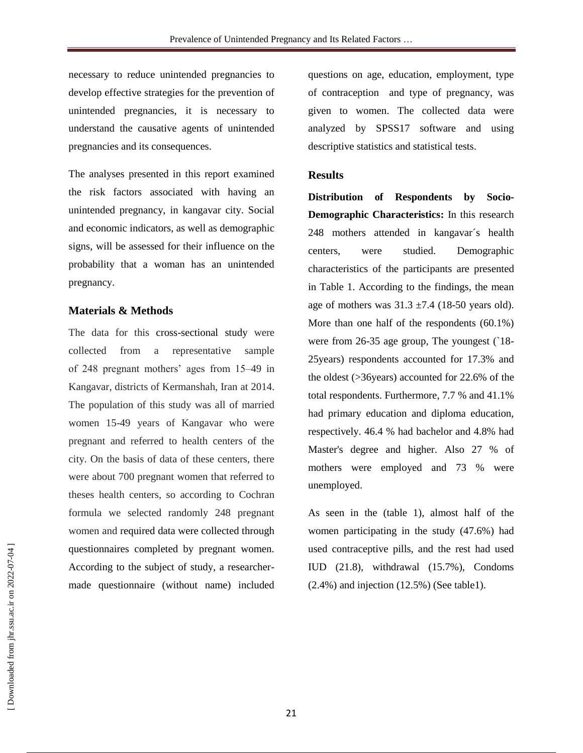necessary to reduce unintended pregnancies to develop effective strategies for the prevention of unintended pregnancies, it is necessary to understand the causative agents of unintended pregnancies and its consequences.

The analyses presented in this report examined the risk factors associated with having an unintended pregnancy, in kangavar city. Social and economic indicators, as well as demographic signs, will be assessed for their influence on the probability that a woman has an unintended pregnancy.

### **Materials & Methods**

The data for this cross-sectional study were collected from a representative sample of 248 pregnant mothers' ages from 15–49 in Kangavar, districts of Kermanshah, Iran at 2014. The population of this study was all of married women 15-49 years of Kangavar who were pregnant and referred to health centers of the city. On the basis of data of these centers, there were about 700 pregnant women that referred to theses health centers, so according to Cochran formula we selected randomly 248 pregnant women and required data were collected through questionnaires completed by pregnant women. According to the subject of study, a researchermade questionnaire (without name) included questions on age, education, employment, type of contraception and type of pregnancy, was given to women. The collected data were analyzed by SPSS17 software and using descriptive statistics and statistical tests.

### **Results**

**Distribution of Respondents by Socio-Demographic Characteristics:** In this research 248 mothers attended in kangavar´s health centers, were studied. Demographic characteristics of the participants are presented in Table 1. According to the findings, the mean age of mothers was  $31.3 \pm 7.4$  (18-50 years old). More than one half of the respondents (60.1%) were from 26-35 age group, The youngest (`18- 25years) respondents accounted for 17.3% and the oldest (>36years) accounted for 22.6% of the total respondents. Furthermore, 7.7 % and 41.1% had primary education and diploma education, respectively. 46.4 % had bachelor and 4.8% had Master's degree and higher. Also 27 % of mothers were employed and 73 % were unemployed.

As seen in the (table 1), almost half of the women participating in the study (47.6%) had used contraceptive pills, and the rest had used IUD (21.8), withdrawal (15.7%), Condoms (2.4%) and injection (12.5%) (See table1).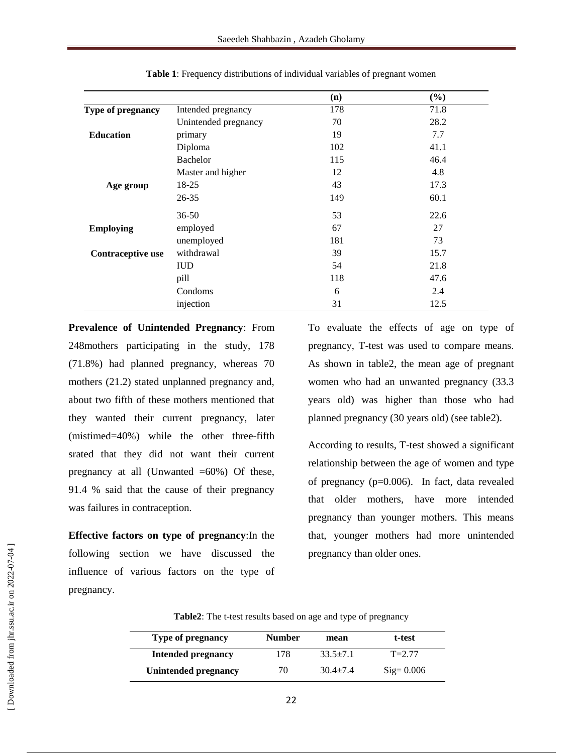|                   |                      | (n) | (%)  |
|-------------------|----------------------|-----|------|
| Type of pregnancy | Intended pregnancy   | 178 | 71.8 |
|                   | Unintended pregnancy | 70  | 28.2 |
| <b>Education</b>  | primary              | 19  | 7.7  |
|                   | Diploma              | 102 | 41.1 |
|                   | Bachelor             | 115 | 46.4 |
|                   | Master and higher    | 12  | 4.8  |
| Age group         | 18-25                | 43  | 17.3 |
|                   | $26 - 35$            | 149 | 60.1 |
|                   | $36 - 50$            | 53  | 22.6 |
| <b>Employing</b>  | employed             | 67  | 27   |
|                   | unemployed           | 181 | 73   |
| Contraceptive use | withdrawal           | 39  | 15.7 |
|                   | <b>IUD</b>           | 54  | 21.8 |
|                   | pill                 | 118 | 47.6 |
|                   | Condoms              | 6   | 2.4  |
|                   | injection            | 31  | 12.5 |

**Table 1**: Frequency distributions of individual variables of pregnant women

**Prevalence of Unintended Pregnancy**: From 248mothers participating in the study, 178 (71.8%) had planned pregnancy, whereas 70 mothers (21.2) stated unplanned pregnancy and, about two fifth of these mothers mentioned that they wanted their current pregnancy, later (mistimed=40%) while the other three-fifth srated that they did not want their current pregnancy at all (Unwanted  $=60\%$ ) Of these, 91.4 % said that the cause of their pregnancy was failures in contraception.

**Effective factors on type of pregnancy**:In the following section we have discussed the influence of various factors on the type of pregnancy.

To evaluate the effects of age on type of pregnancy, T-test was used to compare means. As shown in table2, the mean age of pregnant women who had an unwanted pregnancy (33.3 years old) was higher than those who had planned pregnancy (30 years old) (see table2).

According to results, T-test showed a significant relationship between the age of women and type of pregnancy (p=0.006). In fact, data revealed that older mothers, have more intended pregnancy than younger mothers. This means that, younger mothers had more unintended pregnancy than older ones.

| Type of pregnancy         | <b>Number</b> | mean         | t-test               |
|---------------------------|---------------|--------------|----------------------|
| <b>Intended pregnancy</b> | 178           | $33.5 + 7.1$ | $T = 2.77$           |
| Unintended pregnancy      | 70            | $30.4 + 7.4$ | $\text{Sig} = 0.006$ |

**Table2**: The t-test results based on age and type of pregnancy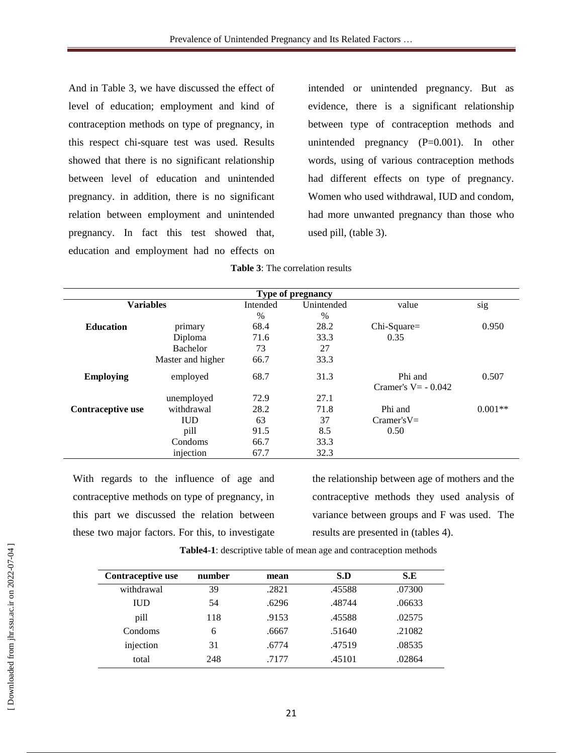And in Table 3, we have discussed the effect of level of education; employment and kind of contraception methods on type of pregnancy, in this respect chi-square test was used. Results showed that there is no significant relationship between level of education and unintended pregnancy. in addition, there is no significant relation between employment and unintended pregnancy. In fact this test showed that, education and employment had no effects on

intended or unintended pregnancy. But as evidence, there is a significant relationship between type of contraception methods and unintended pregnancy (P=0.001). In other words, using of various contraception methods had different effects on type of pregnancy. Women who used withdrawal, IUD and condom, had more unwanted pregnancy than those who used pill, (table 3).

| Type of pregnancy |                   |          |            |                                  |           |  |
|-------------------|-------------------|----------|------------|----------------------------------|-----------|--|
| <b>Variables</b>  |                   | Intended | Unintended | value                            | sig       |  |
|                   |                   | $\%$     | $\%$       |                                  |           |  |
| <b>Education</b>  | primary           | 68.4     | 28.2       | Chi-Square=                      | 0.950     |  |
|                   | Diploma           | 71.6     | 33.3       | 0.35                             |           |  |
|                   | Bachelor          | 73       | 27         |                                  |           |  |
|                   | Master and higher | 66.7     | 33.3       |                                  |           |  |
| <b>Employing</b>  | employed          | 68.7     | 31.3       | Phi and<br>Cramer's $V = -0.042$ | 0.507     |  |
|                   | unemployed        | 72.9     | 27.1       |                                  |           |  |
| Contraceptive use | withdrawal        | 28.2     | 71.8       | Phi and                          | $0.001**$ |  |
|                   | <b>IUD</b>        | 63       | 37         | $Cramer'sV=$                     |           |  |
|                   | pill              | 91.5     | 8.5        | 0.50                             |           |  |
|                   | Condoms           | 66.7     | 33.3       |                                  |           |  |
|                   | injection         | 67.7     | 32.3       |                                  |           |  |

With regards to the influence of age and contraceptive methods on type of pregnancy, in this part we discussed the relation between these two major factors. For this, to investigate

the relationship between age of mothers and the contraceptive methods they used analysis of variance between groups and F was used. The results are presented in (tables 4).

| Contraceptive use | number | mean  | S.D    | S.E    |
|-------------------|--------|-------|--------|--------|
| withdrawal        | 39     | .2821 | .45588 | .07300 |
| <b>IUD</b>        | 54     | .6296 | .48744 | .06633 |
| pill              | 118    | .9153 | .45588 | .02575 |
| Condoms           | 6      | .6667 | .51640 | .21082 |
| injection         | 31     | .6774 | .47519 | .08535 |
| total             | 248    | .7177 | .45101 | .02864 |

**Table4-1**: descriptive table of mean age and contraception methods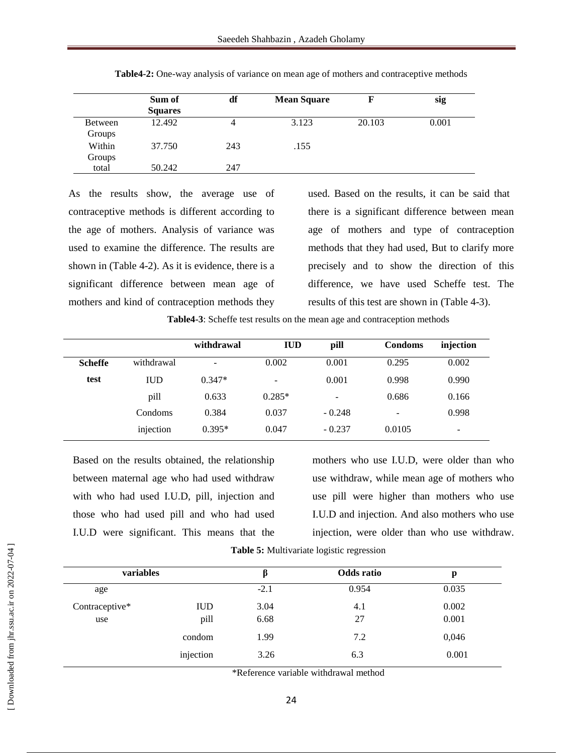|                          | Sum of<br><b>Squares</b> | df  | <b>Mean Square</b> | F      | sig   |
|--------------------------|--------------------------|-----|--------------------|--------|-------|
| <b>Between</b><br>Groups | 12.492                   | 4   | 3.123              | 20.103 | 0.001 |
| Within<br>Groups         | 37.750                   | 243 | .155               |        |       |
| total                    | 50.242                   | 247 |                    |        |       |

**Table4-2:** One-way analysis of variance on mean age of mothers and contraceptive methods

As the results show, the average use of contraceptive methods is different according to the age of mothers. Analysis of variance was used to examine the difference. The results are shown in (Table 4-2). As it is evidence, there is a significant difference between mean age of mothers and kind of contraception methods they

used. Based on the results, it can be said that there is a significant difference between mean age of mothers and type of contraception methods that they had used, But to clarify more precisely and to show the direction of this difference, we have used Scheffe test. The results of this test are shown in (Table 4-3).

**Table4-3**: Scheffe test results on the mean age and contraception methods

|                |            | withdrawal      | <b>IUD</b>               | pill            | Condoms                  | injection                |
|----------------|------------|-----------------|--------------------------|-----------------|--------------------------|--------------------------|
| <b>Scheffe</b> | withdrawal | $\qquad \qquad$ | 0.002                    | 0.001           | 0.295                    | 0.002                    |
| test           | <b>IUD</b> | $0.347*$        | $\overline{\phantom{0}}$ | 0.001           | 0.998                    | 0.990                    |
|                | pill       | 0.633           | $0.285*$                 | $\qquad \qquad$ | 0.686                    | 0.166                    |
|                | Condoms    | 0.384           | 0.037                    | $-0.248$        | $\overline{\phantom{a}}$ | 0.998                    |
|                | injection  | $0.395*$        | 0.047                    | $-0.237$        | 0.0105                   | $\overline{\phantom{0}}$ |

Based on the results obtained, the relationship between maternal age who had used withdraw with who had used I.U.D, pill, injection and those who had used pill and who had used I.U.D were significant. This means that the mothers who use I.U.D, were older than who use withdraw, while mean age of mothers who use pill were higher than mothers who use I.U.D and injection. And also mothers who use injection, were older than who use withdraw.

**Table 5:** Multivariate logistic regression

| variables             |                    | Odds ratio   |           | p              |  |
|-----------------------|--------------------|--------------|-----------|----------------|--|
| age                   |                    | $-2.1$       | 0.954     | 0.035          |  |
| Contraceptive*<br>use | <b>IUD</b><br>pill | 3.04<br>6.68 | 4.1<br>27 | 0.002<br>0.001 |  |
|                       | condom             | 1.99         | 7.2       | 0,046          |  |
|                       | injection          | 3.26         | 6.3       | 0.001          |  |

\*Reference variable withdrawal method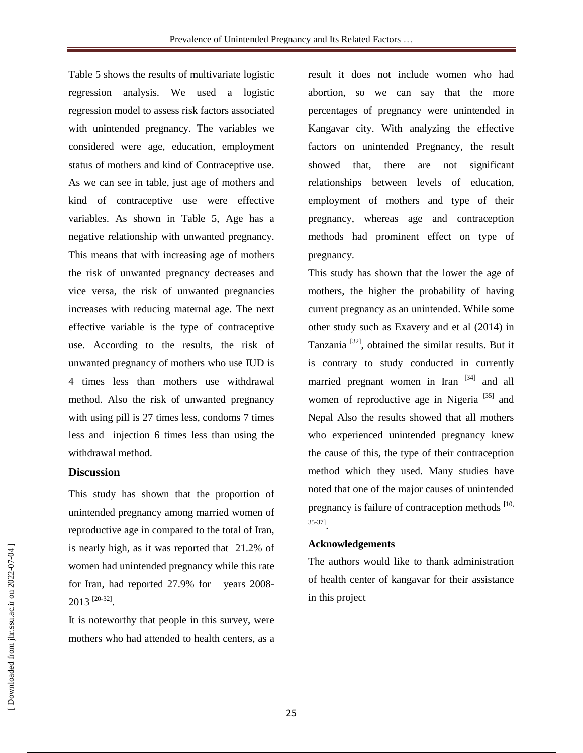Table 5 shows the results of multivariate logistic regression analysis. We used a logistic regression model to assess risk factors associated with unintended pregnancy. The variables we considered were age, education, employment status of mothers and kind of Contraceptive use. As we can see in table, just age of mothers and kind of contraceptive use were effective variables. As shown in Table 5, Age has a negative relationship with unwanted pregnancy. This means that with increasing age of mothers the risk of unwanted pregnancy decreases and vice versa, the risk of unwanted pregnancies increases with reducing maternal age. The next effective variable is the type of contraceptive use. According to the results, the risk of unwanted pregnancy of mothers who use IUD is 4 times less than mothers use withdrawal method. Also the risk of unwanted pregnancy with using pill is 27 times less, condoms 7 times less and injection 6 times less than using the withdrawal method.

#### **Discussion**

This study has shown that the proportion of unintended pregnancy among married women of reproductive age in compared to the total of Iran, is nearly high, as it was reported that 21.2% of women had unintended pregnancy while this rate for Iran, had reported 27.9% for years 2008-  $2013$ <sup>[20-32]</sup>.

It is noteworthy that people in this survey, were mothers who had attended to health centers, as a result it does not include women who had abortion, so we can say that the more percentages of pregnancy were unintended in Kangavar city. With analyzing the effective factors on unintended Pregnancy, the result showed that, there are not significant relationships between levels of education, employment of mothers and type of their pregnancy, whereas age and contraception methods had prominent effect on type of pregnancy.

This study has shown that the lower the age of mothers, the higher the probability of having current pregnancy as an unintended. While some other study such as Exavery and et al (2014) in Tanzania<sup>[32]</sup>, obtained the similar results. But it is contrary to study conducted in currently married pregnant women in Iran <sup>[34]</sup> and all women of reproductive age in Nigeria<sup>[35]</sup> and Nepal Also the results showed that all mothers who experienced unintended pregnancy knew the cause of this, the type of their contraception method which they used. Many studies have noted that one of the major causes of unintended pregnancy is failure of contraception methods  $[10,$ 35-37] .

#### **Acknowledgements**

The authors would like to thank administration of health center of kangavar for their assistance in this project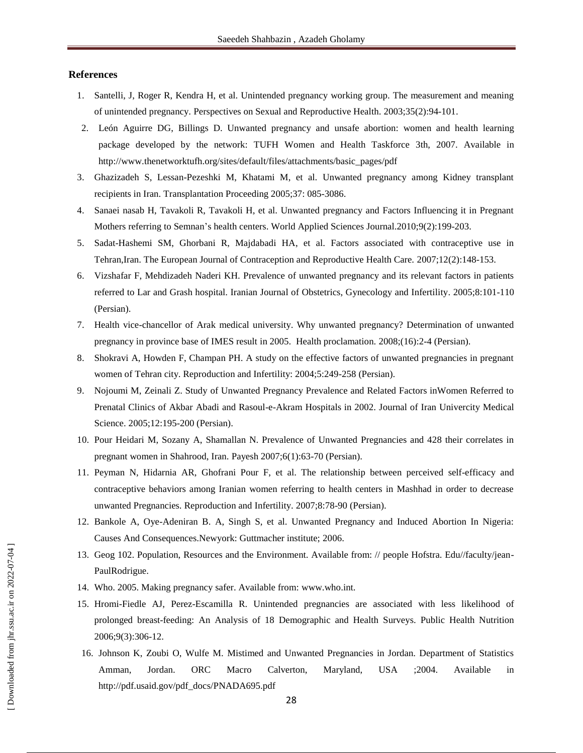#### **References**

- 1. Santelli, J, Roger R, Kendra H, et al. Unintended pregnancy working group. The measurement and meaning of unintended pregnancy. Perspectives on Sexual and Reproductive Health. 2003;35(2):94-101.
- 2. León Aguirre DG, Billings D. Unwanted pregnancy and unsafe abortion: women and health learning package developed by the network: TUFH Women and Health Taskforce 3th, 2007. Available in http://www.thenetworktufh.org/sites/default/files/attachments/basic\_pages/pdf
- 3. Ghazizadeh S, Lessan-Pezeshki M, Khatami M, et al. Unwanted pregnancy among Kidney transplant recipients in Iran. Transplantation Proceeding 2005;37: 085-3086.
- 4. Sanaei nasab H, Tavakoli R, Tavakoli H, et al. Unwanted pregnancy and Factors Influencing it in Pregnant Mothers referring to Semnan's health centers. World Applied Sciences Journal.2010;9(2):199-203.
- 5. Sadat-Hashemi SM, Ghorbani R, Majdabadi HA, et al. Factors associated with contraceptive use in Tehran,Iran. The European Journal of Contraception and Reproductive Health Care. 2007;12(2):148-153.
- 6. Vizshafar F, Mehdizadeh Naderi KH. Prevalence of unwanted pregnancy and its relevant factors in patients referred to Lar and Grash hospital. Iranian Journal of Obstetrics, Gynecology and Infertility. 2005;8:101-110 (Persian).
- 7. Health vice-chancellor of Arak medical university. Why unwanted pregnancy? Determination of unwanted pregnancy in province base of IMES result in 2005. Health proclamation. 2008;(16):2-4 (Persian).
- 8. Shokravi A, Howden F, Champan PH. A study on the effective factors of unwanted pregnancies in pregnant women of Tehran city. Reproduction and Infertility: 2004;5:249-258 (Persian).
- 9. Nojoumi M, Zeinali Z. Study of Unwanted Pregnancy Prevalence and Related Factors inWomen Referred to Prenatal Clinics of Akbar Abadi and Rasoul-e-Akram Hospitals in 2002. Journal of Iran Univercity Medical Science. 2005;12:195-200 (Persian).
- 10. Pour Heidari M, Sozany A, Shamallan N. Prevalence of Unwanted Pregnancies and 428 their correlates in pregnant women in Shahrood, Iran. Payesh 2007;6(1):63-70 (Persian).
- 11. Peyman N, Hidarnia AR, Ghofrani Pour F, et al. The relationship between perceived self-efficacy and contraceptive behaviors among Iranian women referring to health centers in Mashhad in order to decrease unwanted Pregnancies. Reproduction and Infertility. 2007;8:78-90 (Persian).
- 12. Bankole A, Oye-Adeniran B. A, Singh S, et al. Unwanted Pregnancy and Induced Abortion In Nigeria: Causes And Consequences.Newyork: Guttmacher institute; 2006.
- 13. Geog 102. Population, Resources and the Environment. Available from: // people Hofstra. Edu//faculty/jean-PaulRodrigue.
- 14. Who. 2005. Making pregnancy safer. Available from[: www.who.int.](http://www.who.int/)
- 15. Hromi-Fiedle AJ, Perez-Escamilla R. Unintended pregnancies are associated with less likelihood of prolonged breast-feeding: An Analysis of 18 Demographic and Health Surveys. Public Health Nutrition 2006;9(3):306-12.
- 16. Johnson K, Zoubi O, Wulfe M. Mistimed and Unwanted Pregnancies in Jordan. Department of Statistics Amman, Jordan. ORC Macro Calverton, Maryland, USA ;2004. Available in http://pdf.usaid.gov/pdf\_docs/PNADA695.pdf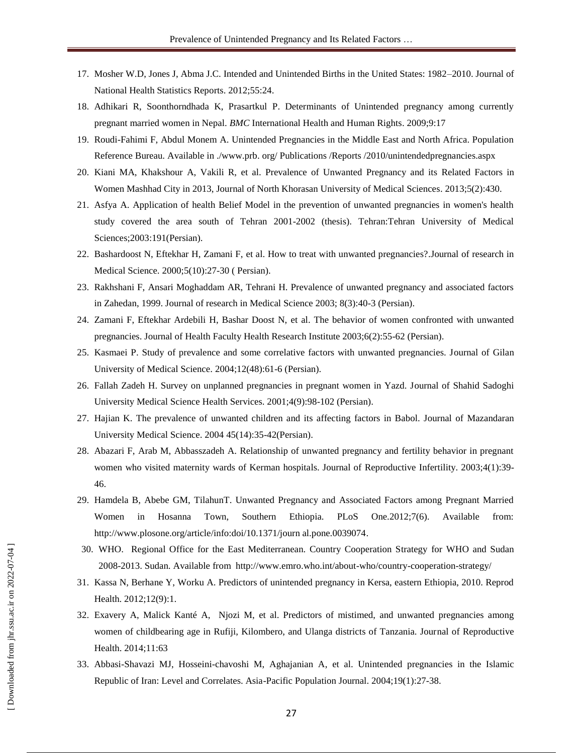- 17. Mosher W.D, Jones J, Abma J.C. Intended and Unintended Births in the United States: 1982–2010. Journal of National Health Statistics Reports. 2012;55:24.
- 18. Adhikari R, Soonthorndhada K, Prasartkul P. Determinants of Unintended pregnancy among currently pregnant married women in Nepal. *BMC* International Health and Human Rights. 2009;9:17
- 19. Roudi-Fahimi F, Abdul Monem A. Unintended Pregnancies in the Middle East and North Africa. Population Reference Bureau. Available in ./www.prb. org/ Publications /Reports /2010/unintendedpregnancies.aspx
- 20. Kiani MA, Khakshour A, Vakili R, et al. Prevalence of Unwanted Pregnancy and its Related Factors in Women Mashhad City in 2013, Journal of North Khorasan University of Medical Sciences. 2013;5(2):430.
- 21. Asfya A. Application of health Belief Model in the prevention of unwanted pregnancies in women's health study covered the area south of Tehran 2001-2002 (thesis). Tehran:Tehran University of Medical Sciences;2003:191(Persian).
- 22. Bashardoost N, Eftekhar H, Zamani F, et al. How to treat with unwanted pregnancies?.Journal of research in Medical Science. 2000;5(10):27-30 ( Persian).
- 23. Rakhshani F, Ansari Moghaddam AR, Tehrani H. Prevalence of unwanted pregnancy and associated factors in Zahedan, 1999. Journal of research in Medical Science 2003; 8(3):40-3 (Persian).
- 24. Zamani F, Eftekhar Ardebili H, Bashar Doost N, et al. The behavior of women confronted with unwanted pregnancies. Journal of Health Faculty Health Research Institute 2003;6(2):55-62 (Persian).
- 25. Kasmaei P. Study of prevalence and some correlative factors with unwanted pregnancies. Journal of Gilan University of Medical Science. 2004;12(48):61-6 (Persian).
- 26. Fallah Zadeh H. Survey on unplanned pregnancies in pregnant women in Yazd. Journal of Shahid Sadoghi University Medical Science Health Services. 2001;4(9):98-102 (Persian).
- 27. Hajian K. The prevalence of unwanted children and its affecting factors in Babol. Journal of Mazandaran University Medical Science. 2004 45(14):35-42(Persian).
- 28. Abazari F, Arab M, Abbasszadeh A. Relationship of unwanted pregnancy and fertility behavior in pregnant women who visited maternity wards of Kerman hospitals. Journal of Reproductive Infertility. 2003;4(1):39- 46.
- 29. Hamdela B, Abebe GM, TilahunT. Unwanted Pregnancy and Associated Factors among Pregnant Married Women in Hosanna Town, Southern Ethiopia. PLoS One.2012;7(6). Available from: [http://www.plosone.org/article/info:doi/10.1371/journ al.pone.0039074.](http://www.plosone.org/article/info:doi/10.1371/journ%20al.pone.0039074)
- 30. WHO. Regional Office for the East Mediterranean. Country Cooperation Strategy for WHO and Sudan 2008-2013. Sudan. Available from http://www.emro.who.int/about-who/country-cooperation-strategy/
- 31. Kassa N, Berhane Y, Worku A. Predictors of unintended pregnancy in Kersa, eastern Ethiopia, 2010. Reprod Health. 2012;12(9):1.
- 32. Exavery A, Malick Kanté A, Njozi M, et al. Predictors of mistimed, and unwanted pregnancies among women of childbearing age in Rufiji, Kilombero, and Ulanga districts of Tanzania. Journal of Reproductive Health. 2014;11:63
- 33. Abbasi-Shavazi MJ, Hosseini-chavoshi M, Aghajanian A, et al. Unintended pregnancies in the Islamic Republic of Iran: Level and Correlates. Asia-Pacific Population Journal. 2004;19(1):27-38.